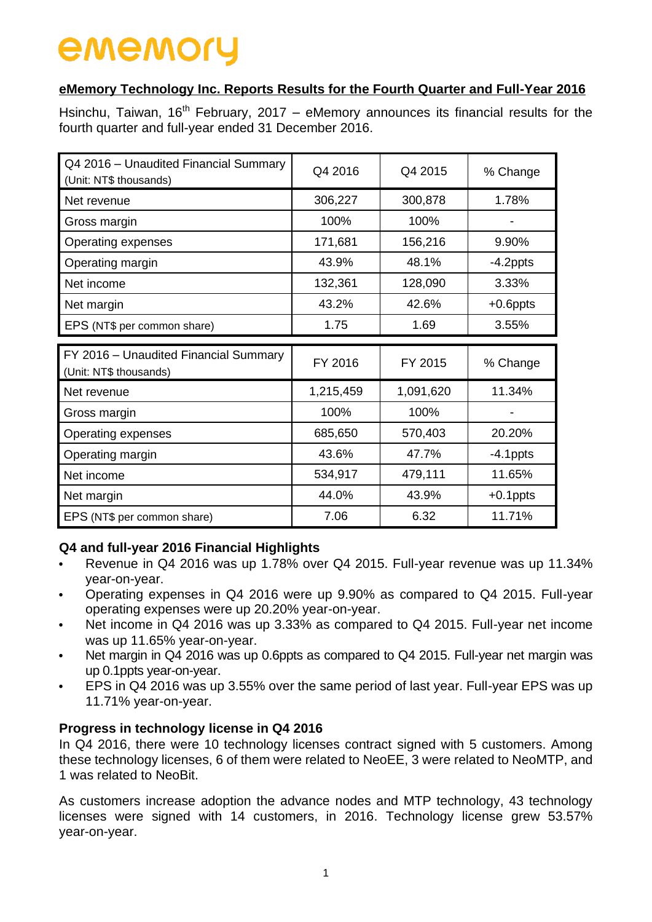#### **eMemory Technology Inc. Reports Results for the Fourth Quarter and Full-Year 2016**

Hsinchu, Taiwan,  $16<sup>th</sup>$  February, 2017 – eMemory announces its financial results for the fourth quarter and full-year ended 31 December 2016.

| Q4 2016 - Unaudited Financial Summary<br>(Unit: NT\$ thousands) | Q4 2016   | Q4 2015   | % Change    |
|-----------------------------------------------------------------|-----------|-----------|-------------|
| Net revenue                                                     | 306,227   | 300,878   | 1.78%       |
| Gross margin                                                    | 100%      | 100%      |             |
| Operating expenses                                              | 171,681   | 156,216   | 9.90%       |
| Operating margin                                                | 43.9%     | 48.1%     | $-4.2$ ppts |
| Net income                                                      | 132,361   | 128,090   | 3.33%       |
| Net margin                                                      | 43.2%     | 42.6%     | $+0.6$ ppts |
| EPS (NT\$ per common share)                                     | 1.75      | 1.69      | 3.55%       |
|                                                                 |           |           |             |
|                                                                 |           |           |             |
| FY 2016 - Unaudited Financial Summary<br>(Unit: NT\$ thousands) | FY 2016   | FY 2015   | % Change    |
| Net revenue                                                     | 1,215,459 | 1,091,620 | 11.34%      |
| Gross margin                                                    | 100%      | 100%      |             |
| Operating expenses                                              | 685,650   | 570,403   | 20.20%      |
| Operating margin                                                | 43.6%     | 47.7%     | $-4.1$ ppts |
| Net income                                                      | 534,917   | 479,111   | 11.65%      |
| Net margin                                                      | 44.0%     | 43.9%     | $+0.1$ ppts |

### **Q4 and full-year 2016 Financial Highlights**

- Revenue in Q4 2016 was up 1.78% over Q4 2015. Full-year revenue was up 11.34% year-on-year.
- Operating expenses in Q4 2016 were up 9.90% as compared to Q4 2015. Full-year operating expenses were up 20.20% year-on-year.
- Net income in Q4 2016 was up 3.33% as compared to Q4 2015. Full-year net income was up 11.65% year-on-year.
- Net margin in Q4 2016 was up 0.6ppts as compared to Q4 2015. Full-year net margin was up 0.1ppts year-on-year.
- EPS in Q4 2016 was up 3.55% over the same period of last year. Full-year EPS was up 11.71% year-on-year.

### **Progress in technology license in Q4 2016**

In Q4 2016, there were 10 technology licenses contract signed with 5 customers. Among these technology licenses, 6 of them were related to NeoEE, 3 were related to NeoMTP, and 1 was related to NeoBit.

As customers increase adoption the advance nodes and MTP technology, 43 technology licenses were signed with 14 customers, in 2016. Technology license grew 53.57% year-on-year.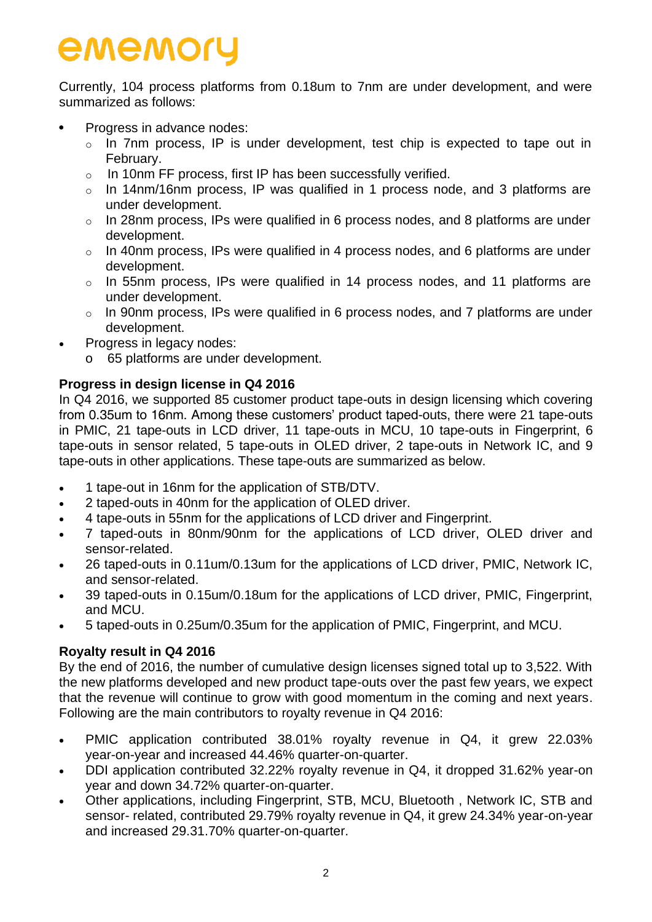Currently, 104 process platforms from 0.18um to 7nm are under development, and were summarized as follows:

- Progress in advance nodes:
	- o In 7nm process, IP is under development, test chip is expected to tape out in February.
	- o In 10nm FF process, first IP has been successfully verified.
	- o In 14nm/16nm process, IP was qualified in 1 process node, and 3 platforms are under development.
	- $\circ$  In 28nm process, IPs were qualified in 6 process nodes, and 8 platforms are under development.
	- o In 40nm process, IPs were qualified in 4 process nodes, and 6 platforms are under development.
	- o In 55nm process, IPs were qualified in 14 process nodes, and 11 platforms are under development.
	- o In 90nm process, IPs were qualified in 6 process nodes, and 7 platforms are under development.
- Progress in legacy nodes:
	- o 65 platforms are under development.

#### **Progress in design license in Q4 2016**

In Q4 2016, we supported 85 customer product tape-outs in design licensing which covering from 0.35um to 16nm. Among these customers' product taped-outs, there were 21 tape-outs in PMIC, 21 tape-outs in LCD driver, 11 tape-outs in MCU, 10 tape-outs in Fingerprint, 6 tape-outs in sensor related, 5 tape-outs in OLED driver, 2 tape-outs in Network IC, and 9 tape-outs in other applications. These tape-outs are summarized as below.

- 1 tape-out in 16nm for the application of STB/DTV.
- 2 taped-outs in 40nm for the application of OLED driver.
- 4 tape-outs in 55nm for the applications of LCD driver and Fingerprint.
- 7 taped-outs in 80nm/90nm for the applications of LCD driver, OLED driver and sensor-related.
- 26 taped-outs in 0.11um/0.13um for the applications of LCD driver, PMIC, Network IC, and sensor-related.
- 39 taped-outs in 0.15um/0.18um for the applications of LCD driver, PMIC, Fingerprint, and MCU.
- 5 taped-outs in 0.25um/0.35um for the application of PMIC, Fingerprint, and MCU.

#### **Royalty result in Q4 2016**

By the end of 2016, the number of cumulative design licenses signed total up to 3,522. With the new platforms developed and new product tape-outs over the past few years, we expect that the revenue will continue to grow with good momentum in the coming and next years. Following are the main contributors to royalty revenue in Q4 2016:

- PMIC application contributed 38.01% royalty revenue in Q4, it grew 22.03% year-on-year and increased 44.46% quarter-on-quarter.
- DDI application contributed 32.22% royalty revenue in Q4, it dropped 31.62% year-on year and down 34.72% quarter-on-quarter.
- Other applications, including Fingerprint, STB, MCU, Bluetooth , Network IC, STB and sensor- related, contributed 29.79% royalty revenue in Q4, it grew 24.34% year-on-year and increased 29.31.70% quarter-on-quarter.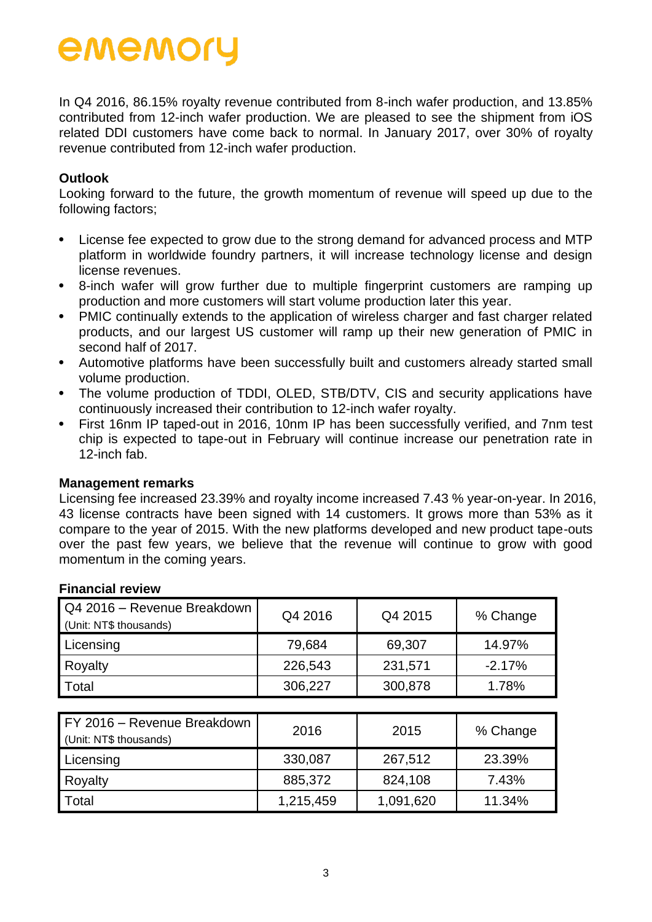In Q4 2016, 86.15% royalty revenue contributed from 8-inch wafer production, and 13.85% contributed from 12-inch wafer production. We are pleased to see the shipment from iOS related DDI customers have come back to normal. In January 2017, over 30% of royalty revenue contributed from 12-inch wafer production.

#### **Outlook**

Looking forward to the future, the growth momentum of revenue will speed up due to the following factors;

- License fee expected to grow due to the strong demand for advanced process and MTP platform in worldwide foundry partners, it will increase technology license and design license revenues.
- 8-inch wafer will grow further due to multiple fingerprint customers are ramping up production and more customers will start volume production later this year.
- PMIC continually extends to the application of wireless charger and fast charger related products, and our largest US customer will ramp up their new generation of PMIC in second half of 2017.
- Automotive platforms have been successfully built and customers already started small volume production.
- The volume production of TDDI, OLED, STB/DTV, CIS and security applications have continuously increased their contribution to 12-inch wafer royalty.
- First 16nm IP taped-out in 2016, 10nm IP has been successfully verified, and 7nm test chip is expected to tape-out in February will continue increase our penetration rate in 12-inch fab.

#### **Management remarks**

Licensing fee increased 23.39% and royalty income increased 7.43 % year-on-year. In 2016, 43 license contracts have been signed with 14 customers. It grows more than 53% as it compare to the year of 2015. With the new platforms developed and new product tape-outs over the past few years, we believe that the revenue will continue to grow with good momentum in the coming years.

| Q4 2016 - Revenue Breakdown<br>(Unit: NT\$ thousands) | Q4 2016   | Q4 2015   | % Change |
|-------------------------------------------------------|-----------|-----------|----------|
| Licensing                                             | 79,684    | 69,307    | 14.97%   |
| Royalty                                               | 226,543   | 231,571   | $-2.17%$ |
| Total                                                 | 306,227   | 300,878   | 1.78%    |
|                                                       |           |           |          |
| FY 2016 - Revenue Breakdown<br>(Unit: NT\$ thousands) | 2016      | 2015      | % Change |
| Licensing                                             | 330,087   | 267,512   | 23.39%   |
| Royalty                                               | 885,372   | 824,108   | 7.43%    |
| Total                                                 | 1,215,459 | 1,091,620 | 11.34%   |

#### **Financial review**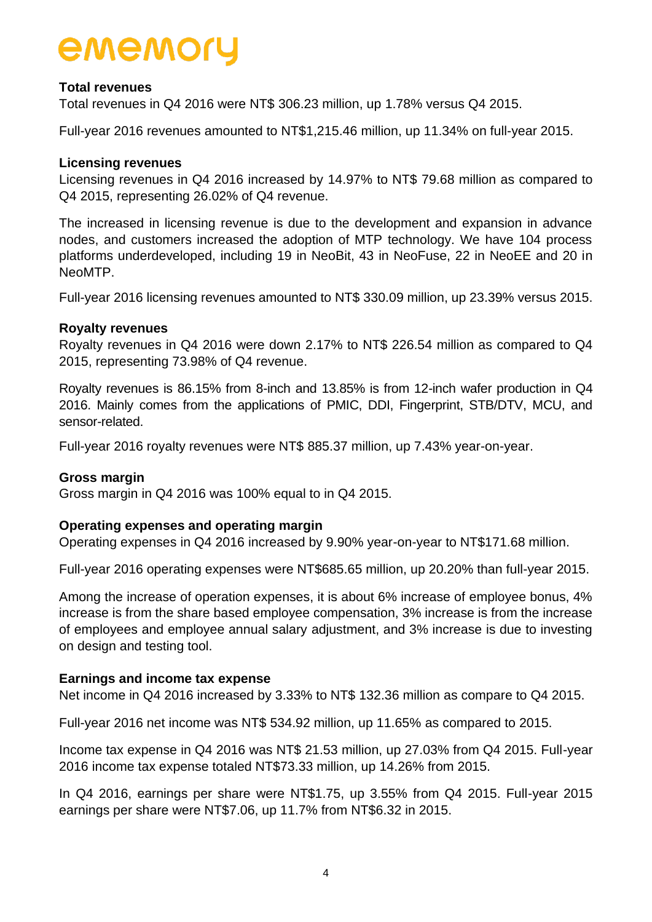#### **Total revenues**

Total revenues in Q4 2016 were NT\$ 306.23 million, up 1.78% versus Q4 2015.

Full-year 2016 revenues amounted to NT\$1,215.46 million, up 11.34% on full-year 2015.

#### **Licensing revenues**

Licensing revenues in Q4 2016 increased by 14.97% to NT\$ 79.68 million as compared to Q4 2015, representing 26.02% of Q4 revenue.

The increased in licensing revenue is due to the development and expansion in advance nodes, and customers increased the adoption of MTP technology. We have 104 process platforms underdeveloped, including 19 in NeoBit, 43 in NeoFuse, 22 in NeoEE and 20 in NeoMTP.

Full-year 2016 licensing revenues amounted to NT\$ 330.09 million, up 23.39% versus 2015.

#### **Royalty revenues**

Royalty revenues in Q4 2016 were down 2.17% to NT\$ 226.54 million as compared to Q4 2015, representing 73.98% of Q4 revenue.

Royalty revenues is 86.15% from 8-inch and 13.85% is from 12-inch wafer production in Q4 2016. Mainly comes from the applications of PMIC, DDI, Fingerprint, STB/DTV, MCU, and sensor-related.

Full-year 2016 royalty revenues were NT\$ 885.37 million, up 7.43% year-on-year.

#### **Gross margin**

Gross margin in Q4 2016 was 100% equal to in Q4 2015.

#### **Operating expenses and operating margin**

Operating expenses in Q4 2016 increased by 9.90% year-on-year to NT\$171.68 million.

Full-year 2016 operating expenses were NT\$685.65 million, up 20.20% than full-year 2015.

Among the increase of operation expenses, it is about 6% increase of employee bonus, 4% increase is from the share based employee compensation, 3% increase is from the increase of employees and employee annual salary adjustment, and 3% increase is due to investing on design and testing tool.

#### **Earnings and income tax expense**

Net income in Q4 2016 increased by 3.33% to NT\$ 132.36 million as compare to Q4 2015.

Full-year 2016 net income was NT\$ 534.92 million, up 11.65% as compared to 2015.

Income tax expense in Q4 2016 was NT\$ 21.53 million, up 27.03% from Q4 2015. Full-year 2016 income tax expense totaled NT\$73.33 million, up 14.26% from 2015.

In Q4 2016, earnings per share were NT\$1.75, up 3.55% from Q4 2015. Full-year 2015 earnings per share were NT\$7.06, up 11.7% from NT\$6.32 in 2015.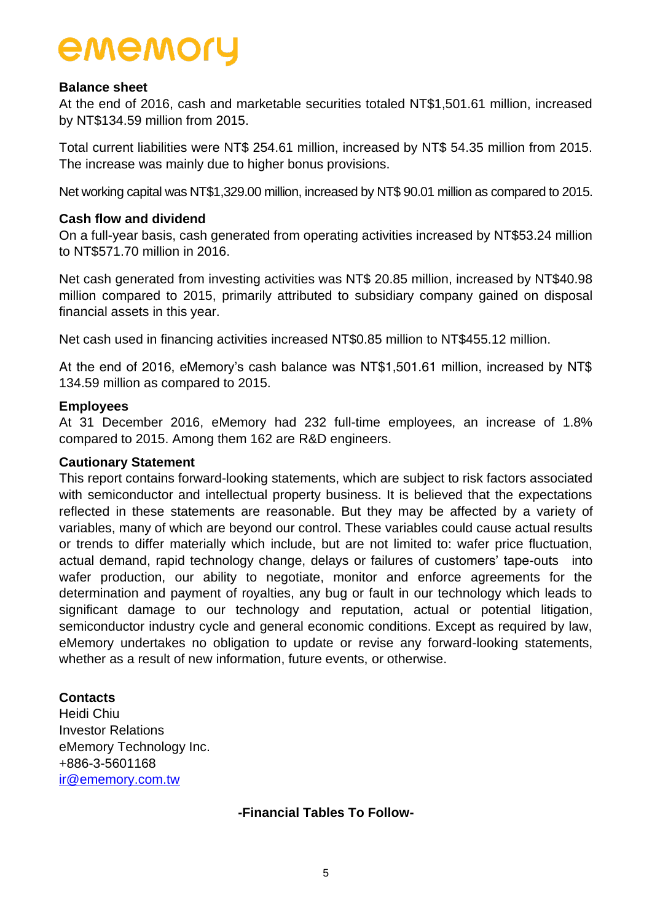#### **Balance sheet**

At the end of 2016, cash and marketable securities totaled NT\$1,501.61 million, increased by NT\$134.59 million from 2015.

Total current liabilities were NT\$ 254.61 million, increased by NT\$ 54.35 million from 2015. The increase was mainly due to higher bonus provisions.

Net working capital was NT\$1,329.00 million, increased by NT\$ 90.01 million as compared to 2015.

#### **Cash flow and dividend**

On a full-year basis, cash generated from operating activities increased by NT\$53.24 million to NT\$571.70 million in 2016.

Net cash generated from investing activities was NT\$ 20.85 million, increased by NT\$40.98 million compared to 2015, primarily attributed to subsidiary company gained on disposal financial assets in this year.

Net cash used in financing activities increased NT\$0.85 million to NT\$455.12 million.

At the end of 2016, eMemory's cash balance was NT\$1,501.61 million, increased by NT\$ 134.59 million as compared to 2015.

#### **Employees**

At 31 December 2016, eMemory had 232 full-time employees, an increase of 1.8% compared to 2015. Among them 162 are R&D engineers.

#### **Cautionary Statement**

This report contains forward-looking statements, which are subject to risk factors associated with semiconductor and intellectual property business. It is believed that the expectations reflected in these statements are reasonable. But they may be affected by a variety of variables, many of which are beyond our control. These variables could cause actual results or trends to differ materially which include, but are not limited to: wafer price fluctuation, actual demand, rapid technology change, delays or failures of customers' tape-outs into wafer production, our ability to negotiate, monitor and enforce agreements for the determination and payment of royalties, any bug or fault in our technology which leads to significant damage to our technology and reputation, actual or potential litigation, semiconductor industry cycle and general economic conditions. Except as required by law, eMemory undertakes no obligation to update or revise any forward-looking statements, whether as a result of new information, future events, or otherwise.

#### **Contacts**

Heidi Chiu Investor Relations eMemory Technology Inc. +886-3-5601168 [ir@ememory.com.tw](mailto:ir@ememory.com.tw)

#### **-Financial Tables To Follow-**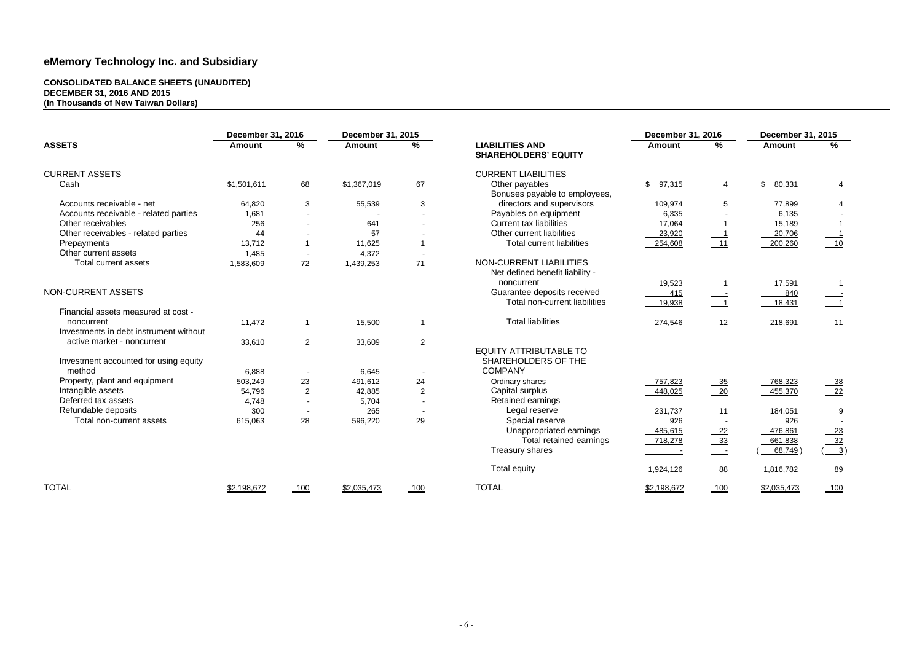#### **CONSOLIDATED BALANCE SHEETS (UNAUDITED) DECEMBER 31, 2016 AND 2015 (In Thousands of New Taiwan Dollars)**

| <b>December 31, 2016</b> |                               | December 31, 2015 |                 |  |
|--------------------------|-------------------------------|-------------------|-----------------|--|
| <b>Amount</b>            | $\frac{0}{0}$                 | <b>Amount</b>     | %               |  |
|                          |                               |                   |                 |  |
| ;<br>97,315              | 4                             | \$<br>80,331      | 4               |  |
| 109,974                  | 5                             | 77,899            | 4               |  |
| 6,335                    |                               | 6,135             |                 |  |
| 17,064                   | 1                             | 15,189            | 1               |  |
| 23,920                   | 1                             | 20,706            | 1               |  |
| 254,608                  | 11                            | 200,260           | 10              |  |
|                          |                               |                   |                 |  |
| 19,523                   | 1                             | 17,591            | 1               |  |
| 415<br>19,938            | $\overline{\phantom{a}}$<br>1 | 840<br>18,431     | $\mathbf{1}$    |  |
|                          |                               |                   |                 |  |
| 274,546                  | 12                            | 218,691           | 11              |  |
|                          |                               |                   |                 |  |
|                          |                               |                   |                 |  |
| 757,823                  | 35                            | 768,323           | 38              |  |
| 448,025                  | 20                            | 455,370           | $\overline{22}$ |  |
| 231,737                  | 11                            | 184,051           | 9               |  |
| 926                      |                               | 926               |                 |  |
| 485,615                  | 22                            | 476,861           | <u>23</u>       |  |
| 718,278                  | <u>33</u>                     | 661,838           | 32              |  |
|                          | -                             | 68,749)<br>(      | <u>3)</u>       |  |
| 1,924,126                | 88                            | 1,816,782         | 89              |  |
| 02,198,672               | 100                           | \$2,035,473       | 100             |  |

|                                        | <b>December 31, 2016</b> |                | <b>December 31, 2015</b> |                |                                                              | December 31, 2016        |                            | <b>December 31, 2015</b> |                            |
|----------------------------------------|--------------------------|----------------|--------------------------|----------------|--------------------------------------------------------------|--------------------------|----------------------------|--------------------------|----------------------------|
| <b>ASSETS</b>                          | <b>Amount</b>            | $\%$           | <b>Amount</b>            | %              | <b>LIABILITIES AND</b><br><b>SHAREHOLDERS' EQUITY</b>        | <b>Amount</b>            | $\%$                       | <b>Amount</b>            | $\%$                       |
| <b>CURRENT ASSETS</b>                  |                          |                |                          |                | <b>CURRENT LIABILITIES</b>                                   |                          |                            |                          |                            |
| Cash                                   | \$1,501,611              | 68             | \$1,367,019              | 67             | Other payables<br>Bonuses payable to employees,              | $\mathfrak{S}$<br>97,315 | $\overline{4}$             | \$<br>80,331             | 4                          |
| Accounts receivable - net              | 64,820                   | 3              | 55,539                   | 3              | directors and supervisors                                    | 109,974                  | 5                          | 77,899                   | 4                          |
| Accounts receivable - related parties  | 1,681                    |                |                          |                | Payables on equipment                                        | 6,335                    |                            | 6,135                    |                            |
| Other receivables                      | 256                      | $\blacksquare$ | 641                      |                | <b>Current tax liabilities</b>                               | 17,064                   |                            | 15,189                   | $\overline{\mathbf{1}}$    |
| Other receivables - related parties    | 44                       |                | 57                       |                | Other current liabilities                                    | 23,920                   |                            | 20,706                   |                            |
| Prepayments                            | 13,712                   |                | 11,625                   |                | <b>Total current liabilities</b>                             | 254,608                  | 11                         | 200,260                  | 10                         |
| Other current assets                   | 1,485                    |                | 4,372                    |                |                                                              |                          |                            |                          |                            |
| Total current assets                   | 1,583,609                | $-72$          | 1,439,253                | $-71$          | NON-CURRENT LIABILITIES<br>Net defined benefit liability -   |                          |                            |                          |                            |
|                                        |                          |                |                          |                | noncurrent                                                   | 19,523                   |                            | 17,591                   | $\overline{1}$             |
| NON-CURRENT ASSETS                     |                          |                |                          |                | Guarantee deposits received<br>Total non-current liabilities | 415<br>19,938            | $\overline{\phantom{0}}$ 1 | 840<br>18,431            | $\overline{\phantom{0}}$ 1 |
| Financial assets measured at cost -    |                          |                |                          |                |                                                              |                          |                            |                          |                            |
| noncurrent                             | 11,472                   | $\mathbf{1}$   | 15,500                   | $\overline{1}$ | <b>Total liabilities</b>                                     | 274,546                  | 12                         | 218,691                  | $-11$                      |
| Investments in debt instrument without |                          |                |                          |                |                                                              |                          |                            |                          |                            |
| active market - noncurrent             | 33,610                   | 2              | 33,609                   | $\overline{2}$ |                                                              |                          |                            |                          |                            |
|                                        |                          |                |                          |                | <b>EQUITY ATTRIBUTABLE TO</b>                                |                          |                            |                          |                            |
| Investment accounted for using equity  |                          |                |                          |                | SHAREHOLDERS OF THE                                          |                          |                            |                          |                            |
| method                                 | 6,888                    |                | 6,645                    |                | <b>COMPANY</b>                                               |                          |                            |                          |                            |
| Property, plant and equipment          | 503,249                  | 23             | 491,612                  | 24             | Ordinary shares                                              | 757,823                  | $-35$                      | 768,323                  | $\frac{38}{22}$            |
| Intangible assets                      | 54,796                   | $\overline{2}$ | 42,885                   | 2              | Capital surplus                                              | 448,025                  | $\frac{20}{2}$             | 455,370                  |                            |
| Deferred tax assets                    | 4,748                    |                | 5,704                    |                | Retained earnings                                            |                          |                            |                          |                            |
| Refundable deposits                    | 300                      |                | 265                      |                | Legal reserve                                                | 231,737                  | 11                         | 184,051                  | 9                          |
| Total non-current assets               | 615,063                  | $-28$          | 596,220                  | $\frac{29}{2}$ | Special reserve                                              | 926                      |                            | 926                      |                            |
|                                        |                          |                |                          |                | Unappropriated earnings                                      | 485,615                  | $-22$                      | 476,861                  | $-23$                      |
|                                        |                          |                |                          |                | Total retained earnings                                      | 718,278                  | $-33$                      | 661,838                  | 32                         |
|                                        |                          |                |                          |                | Treasury shares                                              |                          | $\frac{1}{2}$              | 68,749                   | $\frac{3}{2}$              |
|                                        |                          |                |                          |                | <b>Total equity</b>                                          | 1,924,126                | $-88$                      | 1,816,782                | $-89$                      |
| <b>TOTAL</b>                           | \$2,198,672              | 100            | \$2,035,473              | $-100$         | <b>TOTAL</b>                                                 | \$2,198,672              | 100                        | \$2,035,473              | 100                        |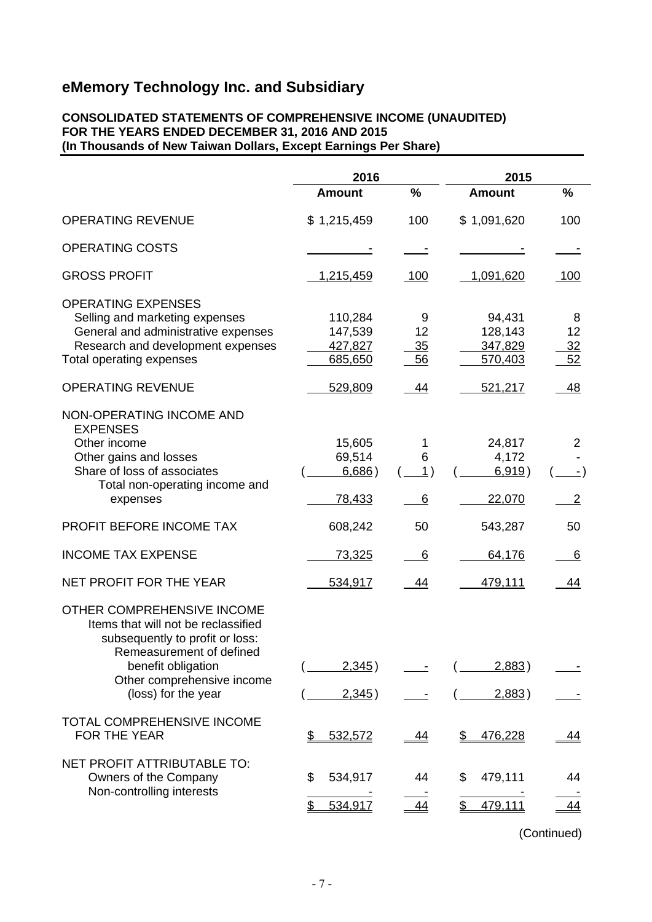#### **CONSOLIDATED STATEMENTS OF COMPREHENSIVE INCOME (UNAUDITED) FOR THE YEARS ENDED DECEMBER 31, 2016 AND 2015 (In Thousands of New Taiwan Dollars, Except Earnings Per Share)**

|                                                                                                                                                                                                             | 2016                                     |                     | 2015                                    |                            |  |
|-------------------------------------------------------------------------------------------------------------------------------------------------------------------------------------------------------------|------------------------------------------|---------------------|-----------------------------------------|----------------------------|--|
|                                                                                                                                                                                                             | <b>Amount</b>                            | $\%$                | <b>Amount</b>                           | %                          |  |
| <b>OPERATING REVENUE</b>                                                                                                                                                                                    | \$1,215,459                              | 100                 | \$1,091,620                             | 100                        |  |
| <b>OPERATING COSTS</b>                                                                                                                                                                                      |                                          |                     |                                         |                            |  |
| <b>GROSS PROFIT</b>                                                                                                                                                                                         | <u>1,215,459</u>                         | 100                 | <u>1,091,620</u>                        | 100                        |  |
| <b>OPERATING EXPENSES</b><br>Selling and marketing expenses<br>General and administrative expenses<br>Research and development expenses<br>Total operating expenses                                         | 110,284<br>147,539<br>427,827<br>685,650 | 9<br>12<br>35<br>56 | 94,431<br>128,143<br>347,829<br>570,403 | 8<br>12<br>32<br>52        |  |
| <b>OPERATING REVENUE</b>                                                                                                                                                                                    | 529,809                                  | 44                  | 521,217                                 | 48                         |  |
| NON-OPERATING INCOME AND<br><b>EXPENSES</b><br>Other income<br>Other gains and losses<br>Share of loss of associates<br>Total non-operating income and<br>expenses                                          | 15,605<br>69,514<br>6,686)<br>78,433     | 1<br>6<br>1)<br>6   | 24,817<br>4,172<br>6,919)<br>22,070     | 2<br>- )<br>$\overline{2}$ |  |
| PROFIT BEFORE INCOME TAX                                                                                                                                                                                    | 608,242                                  | 50                  | 543,287                                 | 50                         |  |
| <b>INCOME TAX EXPENSE</b>                                                                                                                                                                                   | <u>73,325</u>                            | 6                   | 64,176                                  | 6                          |  |
| NET PROFIT FOR THE YEAR                                                                                                                                                                                     | 534,917                                  | 44                  | 479,111                                 | 44                         |  |
| OTHER COMPREHENSIVE INCOME<br>Items that will not be reclassified<br>subsequently to profit or loss:<br>Remeasurement of defined<br>benefit obligation<br>Other comprehensive income<br>(loss) for the year | 2,345)<br>2,345)                         |                     | 2,883)<br>2,883)                        |                            |  |
| TOTAL COMPREHENSIVE INCOME<br>FOR THE YEAR                                                                                                                                                                  | 532,572<br>\$                            | 44                  | 476,228<br>\$                           | <u>44</u>                  |  |
| NET PROFIT ATTRIBUTABLE TO:<br>Owners of the Company<br>Non-controlling interests                                                                                                                           | 534,917<br>\$<br>534,917<br>\$           | 44<br><u>44</u>     | 479,111<br>\$<br>\$<br>479,111          | 44<br>44                   |  |

(Continued)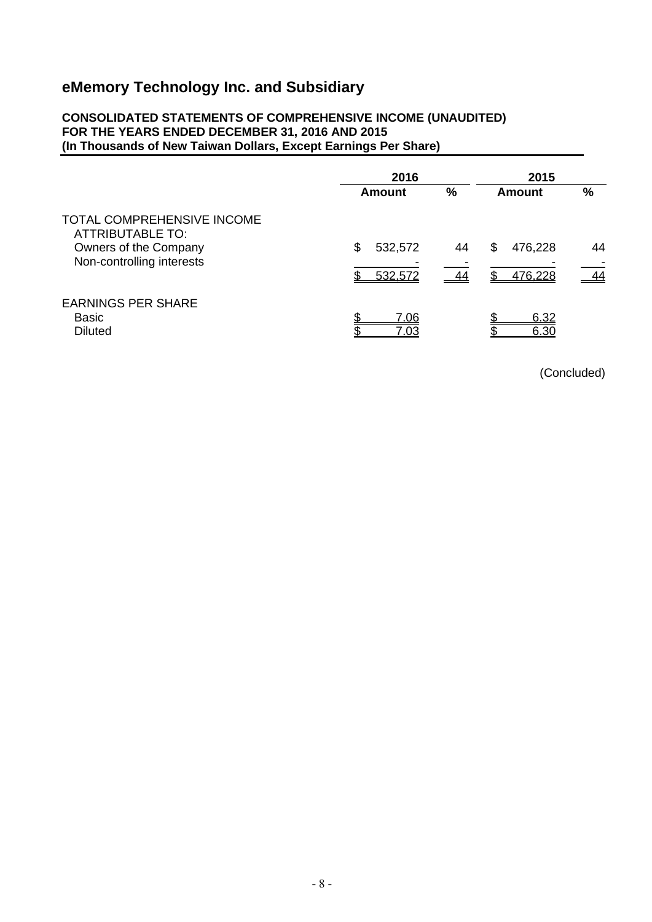#### **CONSOLIDATED STATEMENTS OF COMPREHENSIVE INCOME (UNAUDITED) FOR THE YEARS ENDED DECEMBER 31, 2016 AND 2015 (In Thousands of New Taiwan Dollars, Except Earnings Per Share)**

|                                                                                                                    | 2016                     |          | 2015                    |               |
|--------------------------------------------------------------------------------------------------------------------|--------------------------|----------|-------------------------|---------------|
|                                                                                                                    | Amount                   | %        | Amount                  | $\frac{9}{6}$ |
| <b>TOTAL COMPREHENSIVE INCOME</b><br><b>ATTRIBUTABLE TO:</b><br>Owners of the Company<br>Non-controlling interests | \$<br>532,572<br>532,572 | 44<br>44 | 476,228<br>S<br>476,228 | 44<br>44      |
| <b>EARNINGS PER SHARE</b><br><b>Basic</b><br><b>Diluted</b>                                                        | ጥ<br>7.06<br>7.03        |          | 6.32<br>6.30            |               |

(Concluded)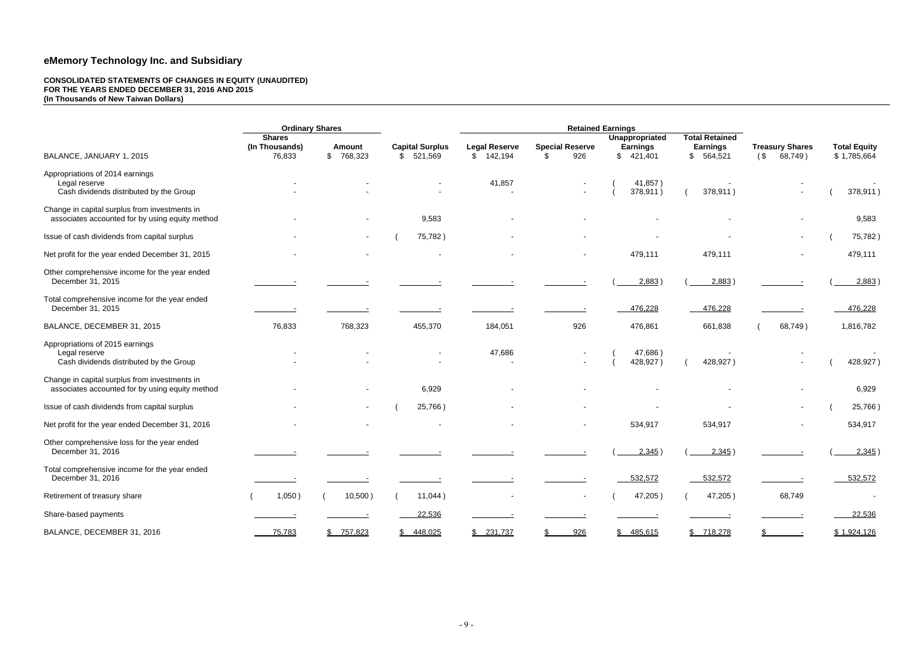#### **CONSOLIDATED STATEMENTS OF CHANGES IN EQUITY (UNAUDITED) FOR THE YEARS ENDED DECEMBER 31, 2016 AND 2015 (In Thousands of New Taiwan Dollars)**

|                                                                                                  | <b>Ordinary Shares</b>          |               |                        | <b>Retained Earnings</b> |                        |                                   |                                          |                        |                     |
|--------------------------------------------------------------------------------------------------|---------------------------------|---------------|------------------------|--------------------------|------------------------|-----------------------------------|------------------------------------------|------------------------|---------------------|
|                                                                                                  | <b>Shares</b><br>(In Thousands) | <b>Amount</b> | <b>Capital Surplus</b> | <b>Legal Reserve</b>     | <b>Special Reserve</b> | Unappropriated<br><b>Earnings</b> | <b>Total Retained</b><br><b>Earnings</b> | <b>Treasury Shares</b> | <b>Total Equity</b> |
| BALANCE, JANUARY 1, 2015                                                                         | 76,833                          | \$768,323     | 521,569<br>S.          | \$142,194                | 926<br>\$.             | \$421,401                         | \$564,521                                | $($ \$<br>68,749)      | \$1,785,664         |
| Appropriations of 2014 earnings<br>Legal reserve<br>Cash dividends distributed by the Group      |                                 |               |                        | 41,857                   |                        | 41,857)<br>378,911)               | 378,911)                                 |                        | 378,911)            |
| Change in capital surplus from investments in<br>associates accounted for by using equity method |                                 |               | 9,583                  |                          |                        |                                   |                                          |                        | 9,583               |
| Issue of cash dividends from capital surplus                                                     |                                 |               | 75,782)                |                          |                        |                                   |                                          |                        | 75,782)             |
| Net profit for the year ended December 31, 2015                                                  |                                 |               |                        |                          |                        | 479,111                           | 479,111                                  |                        | 479,111             |
| Other comprehensive income for the year ended<br>December 31, 2015                               |                                 |               |                        |                          |                        | 2,883)                            | 2,883)                                   |                        | 2,883)              |
| Total comprehensive income for the year ended<br>December 31, 2015                               |                                 |               |                        |                          |                        | 476,228                           | 476,228                                  |                        | 476,228             |
| BALANCE, DECEMBER 31, 2015                                                                       | 76,833                          | 768,323       | 455,370                | 184,051                  | 926                    | 476,861                           | 661,838                                  | 68,749)                | 1,816,782           |
| Appropriations of 2015 earnings<br>Legal reserve<br>Cash dividends distributed by the Group      |                                 |               |                        | 47,686                   |                        | 47,686)<br>428,927)               | 428,927)                                 |                        | 428,927)            |
| Change in capital surplus from investments in<br>associates accounted for by using equity method |                                 |               | 6,929                  |                          |                        |                                   |                                          |                        | 6,929               |
| Issue of cash dividends from capital surplus                                                     |                                 |               | 25,766)                |                          | ۰                      |                                   |                                          |                        | 25,766)             |
| Net profit for the year ended December 31, 2016                                                  |                                 |               |                        |                          |                        | 534,917                           | 534,917                                  |                        | 534,917             |
| Other comprehensive loss for the year ended<br>December 31, 2016                                 |                                 |               |                        |                          |                        | 2,345                             | $2,345$ )                                |                        | $2,345$ )           |
| Total comprehensive income for the year ended<br>December 31, 2016                               |                                 |               |                        |                          |                        | 532,572                           | 532,572                                  |                        | 532,572             |
| Retirement of treasury share                                                                     | 1,050)                          | 10,500)       | 11,044)                |                          | $\sim$                 | 47,205)                           | 47,205)                                  | 68,749                 | $\sim$              |
| Share-based payments                                                                             |                                 |               | 22,536                 |                          |                        |                                   |                                          |                        | 22,536              |
| BALANCE, DECEMBER 31, 2016                                                                       | 75,783                          | \$757,823     | \$448,025              | \$231,737                | 926                    | \$485,615                         | \$718,278                                |                        | \$1,924,126         |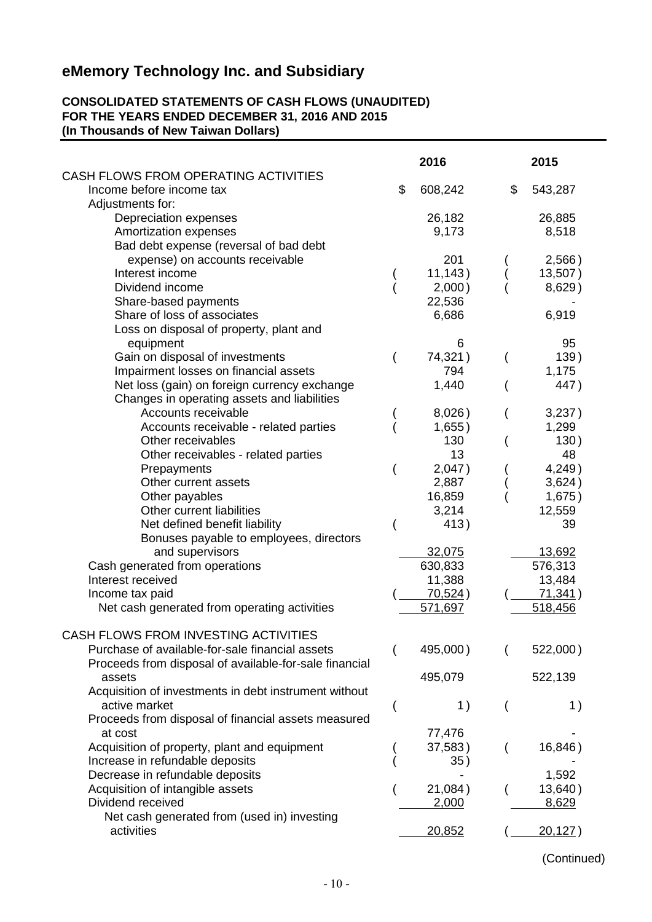#### **CONSOLIDATED STATEMENTS OF CASH FLOWS (UNAUDITED) FOR THE YEARS ENDED DECEMBER 31, 2016 AND 2015 (In Thousands of New Taiwan Dollars)**

|                                                                                                           | 2016               | 2015               |
|-----------------------------------------------------------------------------------------------------------|--------------------|--------------------|
| CASH FLOWS FROM OPERATING ACTIVITIES<br>Income before income tax                                          | \$<br>608,242      | \$<br>543,287      |
| Adjustments for:<br>Depreciation expenses                                                                 | 26,182             | 26,885             |
| Amortization expenses                                                                                     | 9,173              | 8,518              |
| Bad debt expense (reversal of bad debt                                                                    |                    |                    |
| expense) on accounts receivable                                                                           | 201                | 2,566)             |
| Interest income<br>Dividend income                                                                        | 11,143)            | 13,507)<br>8,629)  |
| Share-based payments                                                                                      | 2,000)<br>22,536   |                    |
| Share of loss of associates                                                                               | 6,686              | 6,919              |
| Loss on disposal of property, plant and                                                                   |                    |                    |
| equipment                                                                                                 | 6                  | 95                 |
| Gain on disposal of investments                                                                           | 74,321)            | 139)               |
| Impairment losses on financial assets                                                                     | 794                | 1,175              |
| Net loss (gain) on foreign currency exchange<br>Changes in operating assets and liabilities               | 1,440              | 447)               |
| Accounts receivable                                                                                       | 8,026)             | 3,237)             |
| Accounts receivable - related parties                                                                     | 1,655)             | 1,299              |
| Other receivables                                                                                         | 130                | 130)               |
| Other receivables - related parties                                                                       | 13                 | 48                 |
| Prepayments                                                                                               | 2,047)             | 4,249)             |
| Other current assets                                                                                      | 2,887              | 3,624)             |
| Other payables<br>Other current liabilities                                                               | 16,859<br>3,214    | 1,675)<br>12,559   |
| Net defined benefit liability                                                                             | 413)               | 39                 |
| Bonuses payable to employees, directors                                                                   |                    |                    |
| and supervisors                                                                                           | 32,075             | 13,692             |
| Cash generated from operations                                                                            | 630,833            | 576,313            |
| Interest received                                                                                         | 11,388             | 13,484             |
| Income tax paid<br>Net cash generated from operating activities                                           | 70,524)<br>571,697 | 71,341)<br>518,456 |
|                                                                                                           |                    |                    |
| CASH FLOWS FROM INVESTING ACTIVITIES                                                                      |                    |                    |
| Purchase of available-for-sale financial assets<br>Proceeds from disposal of available-for-sale financial | 495,000)           | 522,000)           |
| assets                                                                                                    | 495,079            | 522,139            |
| Acquisition of investments in debt instrument without                                                     |                    |                    |
| active market                                                                                             | 1)                 | 1)                 |
| Proceeds from disposal of financial assets measured                                                       |                    |                    |
| at cost                                                                                                   | 77,476             |                    |
| Acquisition of property, plant and equipment<br>Increase in refundable deposits                           | 37,583)<br>35)     | 16,846)            |
| Decrease in refundable deposits                                                                           |                    | 1,592              |
| Acquisition of intangible assets                                                                          | 21,084)            | 13,640)            |
| Dividend received                                                                                         | <u>2,000</u>       | 8,629              |
| Net cash generated from (used in) investing                                                               |                    |                    |
| activities                                                                                                | 20,852             | 20,127)            |

(Continued)